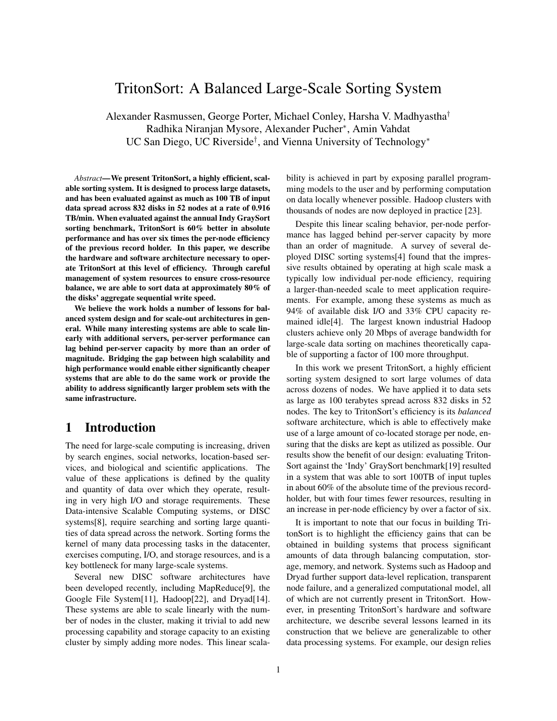# TritonSort: A Balanced Large-Scale Sorting System

Alexander Rasmussen, George Porter, Michael Conley, Harsha V. Madhyastha† Radhika Niranjan Mysore, Alexander Pucher<sup>∗</sup> , Amin Vahdat UC San Diego, UC Riverside† , and Vienna University of Technology<sup>∗</sup>

*Abstract*—We present TritonSort, a highly efficient, scalable sorting system. It is designed to process large datasets, and has been evaluated against as much as 100 TB of input data spread across 832 disks in 52 nodes at a rate of 0.916 TB/min. When evaluated against the annual Indy GraySort sorting benchmark, TritonSort is 60% better in absolute performance and has over six times the per-node efficiency of the previous record holder. In this paper, we describe the hardware and software architecture necessary to operate TritonSort at this level of efficiency. Through careful management of system resources to ensure cross-resource balance, we are able to sort data at approximately 80% of the disks' aggregate sequential write speed.

We believe the work holds a number of lessons for balanced system design and for scale-out architectures in general. While many interesting systems are able to scale linearly with additional servers, per-server performance can lag behind per-server capacity by more than an order of magnitude. Bridging the gap between high scalability and high performance would enable either significantly cheaper systems that are able to do the same work or provide the ability to address significantly larger problem sets with the same infrastructure.

# 1 Introduction

The need for large-scale computing is increasing, driven by search engines, social networks, location-based services, and biological and scientific applications. The value of these applications is defined by the quality and quantity of data over which they operate, resulting in very high I/O and storage requirements. These Data-intensive Scalable Computing systems, or DISC systems[8], require searching and sorting large quantities of data spread across the network. Sorting forms the kernel of many data processing tasks in the datacenter, exercises computing, I/O, and storage resources, and is a key bottleneck for many large-scale systems.

Several new DISC software architectures have been developed recently, including MapReduce[9], the Google File System[11], Hadoop[22], and Dryad[14]. These systems are able to scale linearly with the number of nodes in the cluster, making it trivial to add new processing capability and storage capacity to an existing cluster by simply adding more nodes. This linear scalability is achieved in part by exposing parallel programming models to the user and by performing computation on data locally whenever possible. Hadoop clusters with thousands of nodes are now deployed in practice [23].

Despite this linear scaling behavior, per-node performance has lagged behind per-server capacity by more than an order of magnitude. A survey of several deployed DISC sorting systems[4] found that the impressive results obtained by operating at high scale mask a typically low individual per-node efficiency, requiring a larger-than-needed scale to meet application requirements. For example, among these systems as much as 94% of available disk I/O and 33% CPU capacity remained idle[4]. The largest known industrial Hadoop clusters achieve only 20 Mbps of average bandwidth for large-scale data sorting on machines theoretically capable of supporting a factor of 100 more throughput.

In this work we present TritonSort, a highly efficient sorting system designed to sort large volumes of data across dozens of nodes. We have applied it to data sets as large as 100 terabytes spread across 832 disks in 52 nodes. The key to TritonSort's efficiency is its *balanced* software architecture, which is able to effectively make use of a large amount of co-located storage per node, ensuring that the disks are kept as utilized as possible. Our results show the benefit of our design: evaluating Triton-Sort against the 'Indy' GraySort benchmark[19] resulted in a system that was able to sort 100TB of input tuples in about 60% of the absolute time of the previous recordholder, but with four times fewer resources, resulting in an increase in per-node efficiency by over a factor of six.

It is important to note that our focus in building TritonSort is to highlight the efficiency gains that can be obtained in building systems that process significant amounts of data through balancing computation, storage, memory, and network. Systems such as Hadoop and Dryad further support data-level replication, transparent node failure, and a generalized computational model, all of which are not currently present in TritonSort. However, in presenting TritonSort's hardware and software architecture, we describe several lessons learned in its construction that we believe are generalizable to other data processing systems. For example, our design relies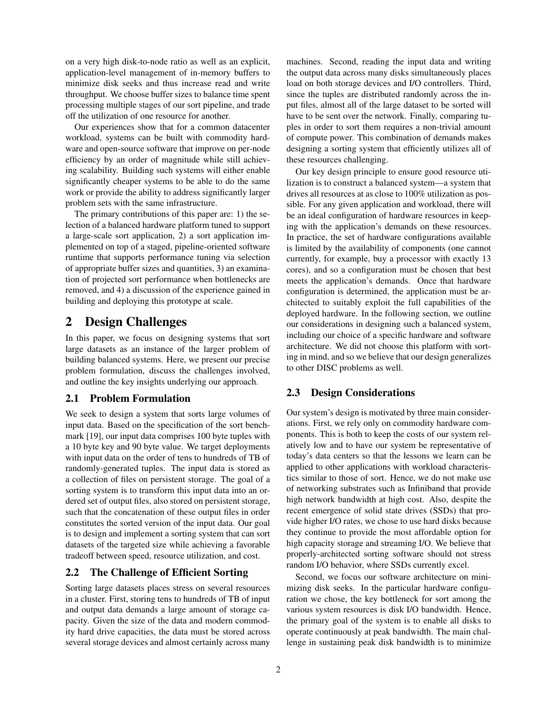on a very high disk-to-node ratio as well as an explicit, application-level management of in-memory buffers to minimize disk seeks and thus increase read and write throughput. We choose buffer sizes to balance time spent processing multiple stages of our sort pipeline, and trade off the utilization of one resource for another.

Our experiences show that for a common datacenter workload, systems can be built with commodity hardware and open-source software that improve on per-node efficiency by an order of magnitude while still achieving scalability. Building such systems will either enable significantly cheaper systems to be able to do the same work or provide the ability to address significantly larger problem sets with the same infrastructure.

The primary contributions of this paper are: 1) the selection of a balanced hardware platform tuned to support a large-scale sort application, 2) a sort application implemented on top of a staged, pipeline-oriented software runtime that supports performance tuning via selection of appropriate buffer sizes and quantities, 3) an examination of projected sort performance when bottlenecks are removed, and 4) a discussion of the experience gained in building and deploying this prototype at scale.

# 2 Design Challenges

In this paper, we focus on designing systems that sort large datasets as an instance of the larger problem of building balanced systems. Here, we present our precise problem formulation, discuss the challenges involved, and outline the key insights underlying our approach.

### 2.1 Problem Formulation

We seek to design a system that sorts large volumes of input data. Based on the specification of the sort benchmark [19], our input data comprises 100 byte tuples with a 10 byte key and 90 byte value. We target deployments with input data on the order of tens to hundreds of TB of randomly-generated tuples. The input data is stored as a collection of files on persistent storage. The goal of a sorting system is to transform this input data into an ordered set of output files, also stored on persistent storage, such that the concatenation of these output files in order constitutes the sorted version of the input data. Our goal is to design and implement a sorting system that can sort datasets of the targeted size while achieving a favorable tradeoff between speed, resource utilization, and cost.

### 2.2 The Challenge of Efficient Sorting

Sorting large datasets places stress on several resources in a cluster. First, storing tens to hundreds of TB of input and output data demands a large amount of storage capacity. Given the size of the data and modern commodity hard drive capacities, the data must be stored across several storage devices and almost certainly across many machines. Second, reading the input data and writing the output data across many disks simultaneously places load on both storage devices and I/O controllers. Third, since the tuples are distributed randomly across the input files, almost all of the large dataset to be sorted will have to be sent over the network. Finally, comparing tuples in order to sort them requires a non-trivial amount of compute power. This combination of demands makes designing a sorting system that efficiently utilizes all of these resources challenging.

Our key design principle to ensure good resource utilization is to construct a balanced system—a system that drives all resources at as close to 100% utilization as possible. For any given application and workload, there will be an ideal configuration of hardware resources in keeping with the application's demands on these resources. In practice, the set of hardware configurations available is limited by the availability of components (one cannot currently, for example, buy a processor with exactly 13 cores), and so a configuration must be chosen that best meets the application's demands. Once that hardware configuration is determined, the application must be architected to suitably exploit the full capabilities of the deployed hardware. In the following section, we outline our considerations in designing such a balanced system, including our choice of a specific hardware and software architecture. We did not choose this platform with sorting in mind, and so we believe that our design generalizes to other DISC problems as well.

### 2.3 Design Considerations

Our system's design is motivated by three main considerations. First, we rely only on commodity hardware components. This is both to keep the costs of our system relatively low and to have our system be representative of today's data centers so that the lessons we learn can be applied to other applications with workload characteristics similar to those of sort. Hence, we do not make use of networking substrates such as Infiniband that provide high network bandwidth at high cost. Also, despite the recent emergence of solid state drives (SSDs) that provide higher I/O rates, we chose to use hard disks because they continue to provide the most affordable option for high capacity storage and streaming I/O. We believe that properly-architected sorting software should not stress random I/O behavior, where SSDs currently excel.

Second, we focus our software architecture on minimizing disk seeks. In the particular hardware configuration we chose, the key bottleneck for sort among the various system resources is disk I/O bandwidth. Hence, the primary goal of the system is to enable all disks to operate continuously at peak bandwidth. The main challenge in sustaining peak disk bandwidth is to minimize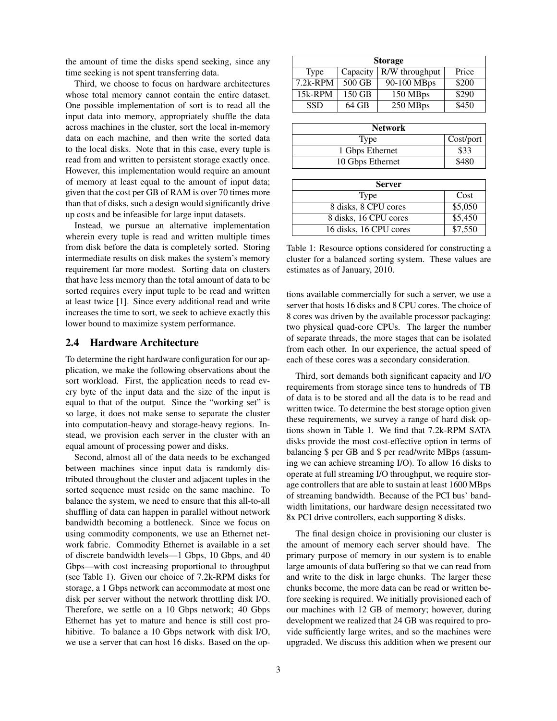the amount of time the disks spend seeking, since any time seeking is not spent transferring data.

Third, we choose to focus on hardware architectures whose total memory cannot contain the entire dataset. One possible implementation of sort is to read all the input data into memory, appropriately shuffle the data across machines in the cluster, sort the local in-memory data on each machine, and then write the sorted data to the local disks. Note that in this case, every tuple is read from and written to persistent storage exactly once. However, this implementation would require an amount of memory at least equal to the amount of input data; given that the cost per GB of RAM is over 70 times more than that of disks, such a design would significantly drive up costs and be infeasible for large input datasets.

Instead, we pursue an alternative implementation wherein every tuple is read and written multiple times from disk before the data is completely sorted. Storing intermediate results on disk makes the system's memory requirement far more modest. Sorting data on clusters that have less memory than the total amount of data to be sorted requires every input tuple to be read and written at least twice [1]. Since every additional read and write increases the time to sort, we seek to achieve exactly this lower bound to maximize system performance.

#### 2.4 Hardware Architecture

To determine the right hardware configuration for our application, we make the following observations about the sort workload. First, the application needs to read every byte of the input data and the size of the input is equal to that of the output. Since the "working set" is so large, it does not make sense to separate the cluster into computation-heavy and storage-heavy regions. Instead, we provision each server in the cluster with an equal amount of processing power and disks.

Second, almost all of the data needs to be exchanged between machines since input data is randomly distributed throughout the cluster and adjacent tuples in the sorted sequence must reside on the same machine. To balance the system, we need to ensure that this all-to-all shuffling of data can happen in parallel without network bandwidth becoming a bottleneck. Since we focus on using commodity components, we use an Ethernet network fabric. Commodity Ethernet is available in a set of discrete bandwidth levels—1 Gbps, 10 Gbps, and 40 Gbps—with cost increasing proportional to throughput (see Table 1). Given our choice of 7.2k-RPM disks for storage, a 1 Gbps network can accommodate at most one disk per server without the network throttling disk I/O. Therefore, we settle on a 10 Gbps network; 40 Gbps Ethernet has yet to mature and hence is still cost prohibitive. To balance a 10 Gbps network with disk I/O, we use a server that can host 16 disks. Based on the op-

| <b>Storage</b> |          |                |       |  |
|----------------|----------|----------------|-------|--|
| Type           | Capacity | R/W throughput | Price |  |
| $7.2k$ -RPM    | 500 GB   | 90-100 MBps    | \$200 |  |
| $15k$ -RPM     | 150 GB   | 150 MBps       | \$290 |  |
| <b>SSD</b>     | $64$ GB  | 250 MBps       | \$450 |  |

| <b>Network</b>   |           |  |  |  |
|------------------|-----------|--|--|--|
| Type             | Cost/port |  |  |  |
| 1 Gbps Ethernet  | \$33      |  |  |  |
| 10 Gbps Ethernet | \$480     |  |  |  |

| <b>Server</b>          |         |  |  |
|------------------------|---------|--|--|
| Type                   | Cost    |  |  |
| 8 disks, 8 CPU cores   | \$5,050 |  |  |
| 8 disks, 16 CPU cores  | \$5,450 |  |  |
| 16 disks, 16 CPU cores | \$7,550 |  |  |

Table 1: Resource options considered for constructing a cluster for a balanced sorting system. These values are estimates as of January, 2010.

tions available commercially for such a server, we use a server that hosts 16 disks and 8 CPU cores. The choice of 8 cores was driven by the available processor packaging: two physical quad-core CPUs. The larger the number of separate threads, the more stages that can be isolated from each other. In our experience, the actual speed of each of these cores was a secondary consideration.

Third, sort demands both significant capacity and I/O requirements from storage since tens to hundreds of TB of data is to be stored and all the data is to be read and written twice. To determine the best storage option given these requirements, we survey a range of hard disk options shown in Table 1. We find that 7.2k-RPM SATA disks provide the most cost-effective option in terms of balancing \$ per GB and \$ per read/write MBps (assuming we can achieve streaming I/O). To allow 16 disks to operate at full streaming I/O throughput, we require storage controllers that are able to sustain at least 1600 MBps of streaming bandwidth. Because of the PCI bus' bandwidth limitations, our hardware design necessitated two 8x PCI drive controllers, each supporting 8 disks.

The final design choice in provisioning our cluster is the amount of memory each server should have. The primary purpose of memory in our system is to enable large amounts of data buffering so that we can read from and write to the disk in large chunks. The larger these chunks become, the more data can be read or written before seeking is required. We initially provisioned each of our machines with 12 GB of memory; however, during development we realized that 24 GB was required to provide sufficiently large writes, and so the machines were upgraded. We discuss this addition when we present our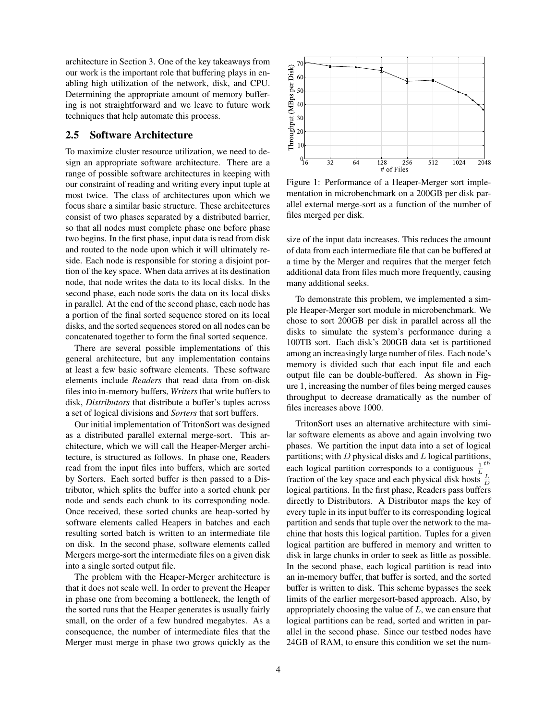architecture in Section 3. One of the key takeaways from our work is the important role that buffering plays in enabling high utilization of the network, disk, and CPU. Determining the appropriate amount of memory buffering is not straightforward and we leave to future work techniques that help automate this process.

### 2.5 Software Architecture

To maximize cluster resource utilization, we need to design an appropriate software architecture. There are a range of possible software architectures in keeping with our constraint of reading and writing every input tuple at most twice. The class of architectures upon which we focus share a similar basic structure. These architectures consist of two phases separated by a distributed barrier, so that all nodes must complete phase one before phase two begins. In the first phase, input data is read from disk and routed to the node upon which it will ultimately reside. Each node is responsible for storing a disjoint portion of the key space. When data arrives at its destination node, that node writes the data to its local disks. In the second phase, each node sorts the data on its local disks in parallel. At the end of the second phase, each node has a portion of the final sorted sequence stored on its local disks, and the sorted sequences stored on all nodes can be concatenated together to form the final sorted sequence.

There are several possible implementations of this general architecture, but any implementation contains at least a few basic software elements. These software elements include *Readers* that read data from on-disk files into in-memory buffers, *Writers* that write buffers to disk, *Distributors* that distribute a buffer's tuples across a set of logical divisions and *Sorters* that sort buffers.

Our initial implementation of TritonSort was designed as a distributed parallel external merge-sort. This architecture, which we will call the Heaper-Merger architecture, is structured as follows. In phase one, Readers read from the input files into buffers, which are sorted by Sorters. Each sorted buffer is then passed to a Distributor, which splits the buffer into a sorted chunk per node and sends each chunk to its corresponding node. Once received, these sorted chunks are heap-sorted by software elements called Heapers in batches and each resulting sorted batch is written to an intermediate file on disk. In the second phase, software elements called Mergers merge-sort the intermediate files on a given disk into a single sorted output file.

The problem with the Heaper-Merger architecture is that it does not scale well. In order to prevent the Heaper in phase one from becoming a bottleneck, the length of the sorted runs that the Heaper generates is usually fairly small, on the order of a few hundred megabytes. As a consequence, the number of intermediate files that the Merger must merge in phase two grows quickly as the



Figure 1: Performance of a Heaper-Merger sort implementation in microbenchmark on a 200GB per disk parallel external merge-sort as a function of the number of files merged per disk.

size of the input data increases. This reduces the amount of data from each intermediate file that can be buffered at a time by the Merger and requires that the merger fetch additional data from files much more frequently, causing many additional seeks.

To demonstrate this problem, we implemented a simple Heaper-Merger sort module in microbenchmark. We chose to sort 200GB per disk in parallel across all the disks to simulate the system's performance during a 100TB sort. Each disk's 200GB data set is partitioned among an increasingly large number of files. Each node's memory is divided such that each input file and each output file can be double-buffered. As shown in Figure 1, increasing the number of files being merged causes throughput to decrease dramatically as the number of files increases above 1000.

TritonSort uses an alternative architecture with similar software elements as above and again involving two phases. We partition the input data into a set of logical partitions; with  $D$  physical disks and  $L$  logical partitions, each logical partition corresponds to a contiguous  $\frac{1}{L}$ th fraction of the key space and each physical disk hosts  $\frac{L}{D}$ logical partitions. In the first phase, Readers pass buffers directly to Distributors. A Distributor maps the key of every tuple in its input buffer to its corresponding logical partition and sends that tuple over the network to the machine that hosts this logical partition. Tuples for a given logical partition are buffered in memory and written to disk in large chunks in order to seek as little as possible. In the second phase, each logical partition is read into an in-memory buffer, that buffer is sorted, and the sorted buffer is written to disk. This scheme bypasses the seek limits of the earlier mergesort-based approach. Also, by appropriately choosing the value of  $L$ , we can ensure that logical partitions can be read, sorted and written in parallel in the second phase. Since our testbed nodes have 24GB of RAM, to ensure this condition we set the num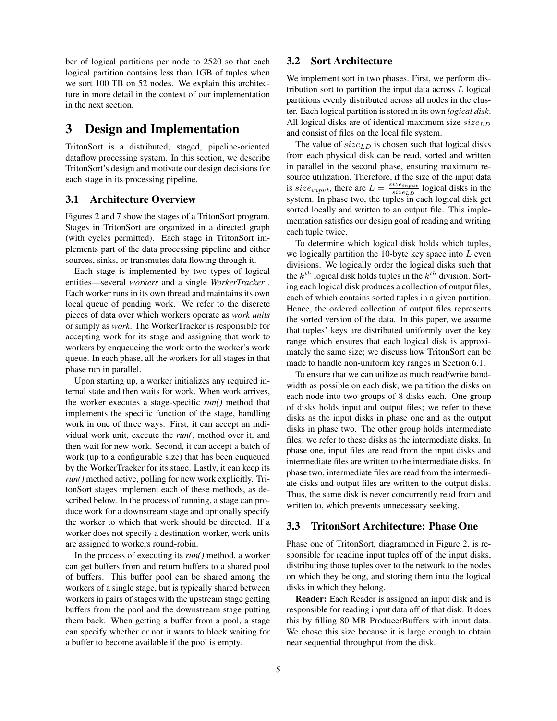ber of logical partitions per node to 2520 so that each logical partition contains less than 1GB of tuples when we sort 100 TB on 52 nodes. We explain this architecture in more detail in the context of our implementation in the next section.

# 3 Design and Implementation

TritonSort is a distributed, staged, pipeline-oriented dataflow processing system. In this section, we describe TritonSort's design and motivate our design decisions for each stage in its processing pipeline.

#### 3.1 Architecture Overview

Figures 2 and 7 show the stages of a TritonSort program. Stages in TritonSort are organized in a directed graph (with cycles permitted). Each stage in TritonSort implements part of the data processing pipeline and either sources, sinks, or transmutes data flowing through it.

Each stage is implemented by two types of logical entities—several *workers* and a single *WorkerTracker* . Each worker runs in its own thread and maintains its own local queue of pending work. We refer to the discrete pieces of data over which workers operate as *work units* or simply as *work*. The WorkerTracker is responsible for accepting work for its stage and assigning that work to workers by enqueueing the work onto the worker's work queue. In each phase, all the workers for all stages in that phase run in parallel.

Upon starting up, a worker initializes any required internal state and then waits for work. When work arrives, the worker executes a stage-specific *run()* method that implements the specific function of the stage, handling work in one of three ways. First, it can accept an individual work unit, execute the *run()* method over it, and then wait for new work. Second, it can accept a batch of work (up to a configurable size) that has been enqueued by the WorkerTracker for its stage. Lastly, it can keep its *run()* method active, polling for new work explicitly. TritonSort stages implement each of these methods, as described below. In the process of running, a stage can produce work for a downstream stage and optionally specify the worker to which that work should be directed. If a worker does not specify a destination worker, work units are assigned to workers round-robin.

In the process of executing its *run()* method, a worker can get buffers from and return buffers to a shared pool of buffers. This buffer pool can be shared among the workers of a single stage, but is typically shared between workers in pairs of stages with the upstream stage getting buffers from the pool and the downstream stage putting them back. When getting a buffer from a pool, a stage can specify whether or not it wants to block waiting for a buffer to become available if the pool is empty.

#### 3.2 Sort Architecture

We implement sort in two phases. First, we perform distribution sort to partition the input data across  $L$  logical partitions evenly distributed across all nodes in the cluster. Each logical partition is stored in its own *logical disk*. All logical disks are of identical maximum size  $size_{LD}$ and consist of files on the local file system.

The value of  $size_{LD}$  is chosen such that logical disks from each physical disk can be read, sorted and written in parallel in the second phase, ensuring maximum resource utilization. Therefore, if the size of the input data is  $size_{input}$ , there are  $L = \frac{size_{input}}{size_{ID}}$  $\frac{iz_{\text{input}}}{size_{\text{LD}}}$  logical disks in the system. In phase two, the tuples in each logical disk get sorted locally and written to an output file. This implementation satisfies our design goal of reading and writing each tuple twice.

To determine which logical disk holds which tuples, we logically partition the 10-byte key space into  $L$  even divisions. We logically order the logical disks such that the  $k^{th}$  logical disk holds tuples in the  $k^{th}$  division. Sorting each logical disk produces a collection of output files, each of which contains sorted tuples in a given partition. Hence, the ordered collection of output files represents the sorted version of the data. In this paper, we assume that tuples' keys are distributed uniformly over the key range which ensures that each logical disk is approximately the same size; we discuss how TritonSort can be made to handle non-uniform key ranges in Section 6.1.

To ensure that we can utilize as much read/write bandwidth as possible on each disk, we partition the disks on each node into two groups of 8 disks each. One group of disks holds input and output files; we refer to these disks as the input disks in phase one and as the output disks in phase two. The other group holds intermediate files; we refer to these disks as the intermediate disks. In phase one, input files are read from the input disks and intermediate files are written to the intermediate disks. In phase two, intermediate files are read from the intermediate disks and output files are written to the output disks. Thus, the same disk is never concurrently read from and written to, which prevents unnecessary seeking.

### 3.3 TritonSort Architecture: Phase One

Phase one of TritonSort, diagrammed in Figure 2, is responsible for reading input tuples off of the input disks, distributing those tuples over to the network to the nodes on which they belong, and storing them into the logical disks in which they belong.

Reader: Each Reader is assigned an input disk and is responsible for reading input data off of that disk. It does this by filling 80 MB ProducerBuffers with input data. We chose this size because it is large enough to obtain near sequential throughput from the disk.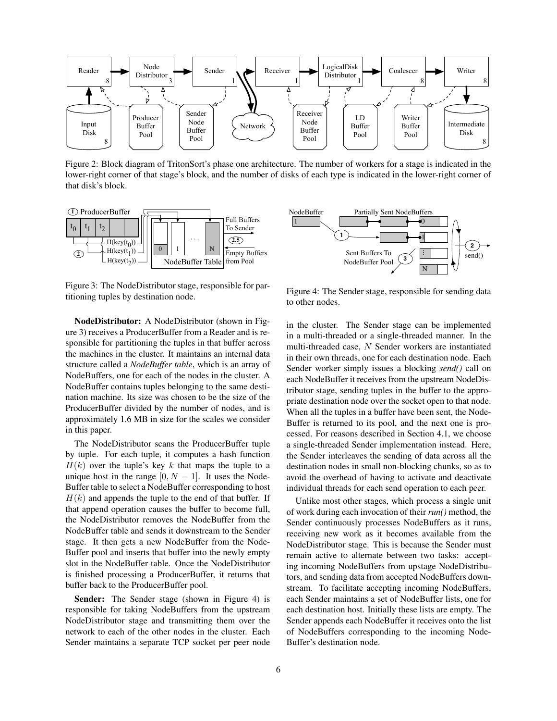

Figure 2: Block diagram of TritonSort's phase one architecture. The number of workers for a stage is indicated in the lower-right corner of that stage's block, and the number of disks of each type is indicated in the lower-right corner of that disk's block.



Figure 3: The NodeDistributor stage, responsible for partitioning tuples by destination node.

NodeDistributor: A NodeDistributor (shown in Figure 3) receives a ProducerBuffer from a Reader and is responsible for partitioning the tuples in that buffer across the machines in the cluster. It maintains an internal data structure called a *NodeBuffer table*, which is an array of NodeBuffers, one for each of the nodes in the cluster. A NodeBuffer contains tuples belonging to the same destination machine. Its size was chosen to be the size of the ProducerBuffer divided by the number of nodes, and is approximately 1.6 MB in size for the scales we consider in this paper.

The NodeDistributor scans the ProducerBuffer tuple by tuple. For each tuple, it computes a hash function  $H(k)$  over the tuple's key k that maps the tuple to a unique host in the range  $[0, N - 1]$ . It uses the Node-Buffer table to select a NodeBuffer corresponding to host  $H(k)$  and appends the tuple to the end of that buffer. If that append operation causes the buffer to become full, the NodeDistributor removes the NodeBuffer from the NodeBuffer table and sends it downstream to the Sender stage. It then gets a new NodeBuffer from the Node-Buffer pool and inserts that buffer into the newly empty slot in the NodeBuffer table. Once the NodeDistributor is finished processing a ProducerBuffer, it returns that buffer back to the ProducerBuffer pool.

Sender: The Sender stage (shown in Figure 4) is responsible for taking NodeBuffers from the upstream NodeDistributor stage and transmitting them over the network to each of the other nodes in the cluster. Each Sender maintains a separate TCP socket per peer node



Figure 4: The Sender stage, responsible for sending data to other nodes.

in the cluster. The Sender stage can be implemented in a multi-threaded or a single-threaded manner. In the multi-threaded case, N Sender workers are instantiated in their own threads, one for each destination node. Each Sender worker simply issues a blocking *send()* call on each NodeBuffer it receives from the upstream NodeDistributor stage, sending tuples in the buffer to the appropriate destination node over the socket open to that node. When all the tuples in a buffer have been sent, the Node-Buffer is returned to its pool, and the next one is processed. For reasons described in Section 4.1, we choose a single-threaded Sender implementation instead. Here, the Sender interleaves the sending of data across all the destination nodes in small non-blocking chunks, so as to avoid the overhead of having to activate and deactivate individual threads for each send operation to each peer.

Unlike most other stages, which process a single unit of work during each invocation of their *run()* method, the Sender continuously processes NodeBuffers as it runs, receiving new work as it becomes available from the NodeDistributor stage. This is because the Sender must remain active to alternate between two tasks: accepting incoming NodeBuffers from upstage NodeDistributors, and sending data from accepted NodeBuffers downstream. To facilitate accepting incoming NodeBuffers, each Sender maintains a set of NodeBuffer lists, one for each destination host. Initially these lists are empty. The Sender appends each NodeBuffer it receives onto the list of NodeBuffers corresponding to the incoming Node-Buffer's destination node.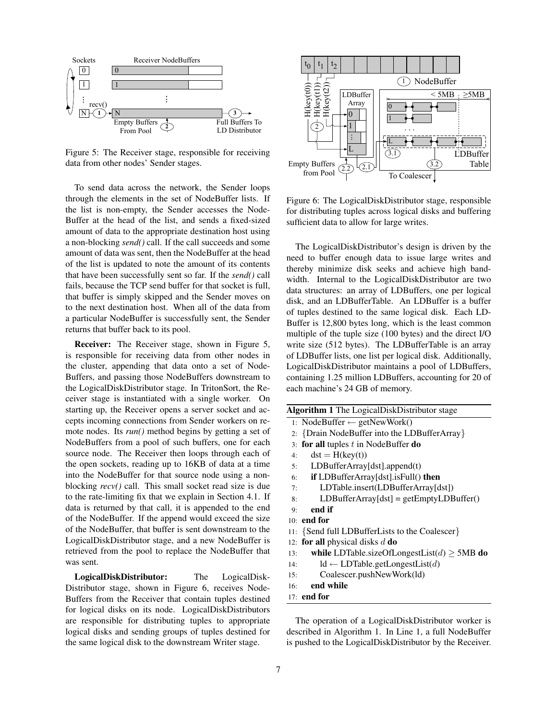

Figure 5: The Receiver stage, responsible for receiving data from other nodes' Sender stages.

To send data across the network, the Sender loops through the elements in the set of NodeBuffer lists. If the list is non-empty, the Sender accesses the Node-Buffer at the head of the list, and sends a fixed-sized amount of data to the appropriate destination host using a non-blocking *send()* call. If the call succeeds and some amount of data was sent, then the NodeBuffer at the head of the list is updated to note the amount of its contents that have been successfully sent so far. If the *send()* call fails, because the TCP send buffer for that socket is full, that buffer is simply skipped and the Sender moves on to the next destination host. When all of the data from a particular NodeBuffer is successfully sent, the Sender returns that buffer back to its pool.

Receiver: The Receiver stage, shown in Figure 5, is responsible for receiving data from other nodes in the cluster, appending that data onto a set of Node-Buffers, and passing those NodeBuffers downstream to the LogicalDiskDistributor stage. In TritonSort, the Receiver stage is instantiated with a single worker. On starting up, the Receiver opens a server socket and accepts incoming connections from Sender workers on remote nodes. Its *run()* method begins by getting a set of NodeBuffers from a pool of such buffers, one for each source node. The Receiver then loops through each of the open sockets, reading up to 16KB of data at a time into the NodeBuffer for that source node using a nonblocking *recv()* call. This small socket read size is due to the rate-limiting fix that we explain in Section 4.1. If data is returned by that call, it is appended to the end of the NodeBuffer. If the append would exceed the size of the NodeBuffer, that buffer is sent downstream to the LogicalDiskDistributor stage, and a new NodeBuffer is retrieved from the pool to replace the NodeBuffer that was sent.

LogicalDiskDistributor: The LogicalDisk-Distributor stage, shown in Figure 6, receives Node-Buffers from the Receiver that contain tuples destined for logical disks on its node. LogicalDiskDistributors are responsible for distributing tuples to appropriate logical disks and sending groups of tuples destined for the same logical disk to the downstream Writer stage.



Figure 6: The LogicalDiskDistributor stage, responsible for distributing tuples across logical disks and buffering sufficient data to allow for large writes.

The LogicalDiskDistributor's design is driven by the need to buffer enough data to issue large writes and thereby minimize disk seeks and achieve high bandwidth. Internal to the LogicalDiskDistributor are two data structures: an array of LDBuffers, one per logical disk, and an LDBufferTable. An LDBuffer is a buffer of tuples destined to the same logical disk. Each LD-Buffer is 12,800 bytes long, which is the least common multiple of the tuple size (100 bytes) and the direct I/O write size (512 bytes). The LDBufferTable is an array of LDBuffer lists, one list per logical disk. Additionally, LogicalDiskDistributor maintains a pool of LDBuffers, containing 1.25 million LDBuffers, accounting for 20 of each machine's 24 GB of memory.

| <b>Algorithm 1</b> The LogicalDiskDistributor stage         |  |  |  |  |
|-------------------------------------------------------------|--|--|--|--|
| 1: NodeBuffer $\leftarrow$ getNewWork()                     |  |  |  |  |
| 2: {Drain NodeBuffer into the LDBufferArray}                |  |  |  |  |
| 3: for all tuples $t$ in NodeBuffer do                      |  |  |  |  |
| $dst = H(key(t))$<br>4:                                     |  |  |  |  |
| LDBufferArray[dst].append(t)<br>5:                          |  |  |  |  |
| if LDBufferArray[dst].isFull() then<br>6:                   |  |  |  |  |
| LDTable.insert(LDBufferArray[dst])<br>7:                    |  |  |  |  |
| $LDBufferArray[dst] = getEmptyLDBuffer()$<br>8:             |  |  |  |  |
| end if<br>9:                                                |  |  |  |  |
| $10:$ end for                                               |  |  |  |  |
| 11: {Send full LDBufferLists to the Coalescer}              |  |  |  |  |
| 12: for all physical disks $d$ do                           |  |  |  |  |
| while LDTable.sizeOfLongestList( $d$ ) $\geq$ 5MB do<br>13: |  |  |  |  |
| $ld \leftarrow \text{LDTable.getLongestList}(d)$<br>14:     |  |  |  |  |
| Coalescer.pushNewWork(ld)<br>15:                            |  |  |  |  |
| end while<br>16:                                            |  |  |  |  |
| $17:$ end for                                               |  |  |  |  |
|                                                             |  |  |  |  |

The operation of a LogicalDiskDistributor worker is described in Algorithm 1. In Line 1, a full NodeBuffer is pushed to the LogicalDiskDistributor by the Receiver.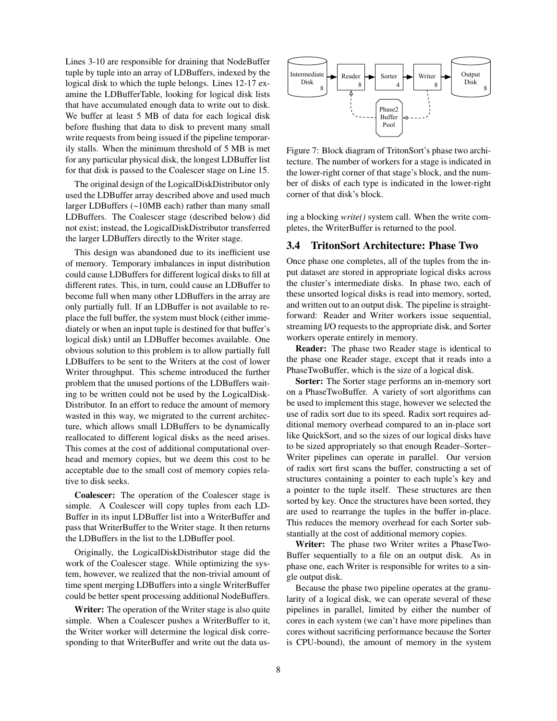Lines 3-10 are responsible for draining that NodeBuffer tuple by tuple into an array of LDBuffers, indexed by the logical disk to which the tuple belongs. Lines 12-17 examine the LDBufferTable, looking for logical disk lists that have accumulated enough data to write out to disk. We buffer at least 5 MB of data for each logical disk before flushing that data to disk to prevent many small write requests from being issued if the pipeline temporarily stalls. When the minimum threshold of 5 MB is met for any particular physical disk, the longest LDBuffer list for that disk is passed to the Coalescer stage on Line 15.

The original design of the LogicalDiskDistributor only used the LDBuffer array described above and used much larger LDBuffers (~10MB each) rather than many small LDBuffers. The Coalescer stage (described below) did not exist; instead, the LogicalDiskDistributor transferred the larger LDBuffers directly to the Writer stage.

This design was abandoned due to its inefficient use of memory. Temporary imbalances in input distribution could cause LDBuffers for different logical disks to fill at different rates. This, in turn, could cause an LDBuffer to become full when many other LDBuffers in the array are only partially full. If an LDBuffer is not available to replace the full buffer, the system must block (either immediately or when an input tuple is destined for that buffer's logical disk) until an LDBuffer becomes available. One obvious solution to this problem is to allow partially full LDBuffers to be sent to the Writers at the cost of lower Writer throughput. This scheme introduced the further problem that the unused portions of the LDBuffers waiting to be written could not be used by the LogicalDisk-Distributor. In an effort to reduce the amount of memory wasted in this way, we migrated to the current architecture, which allows small LDBuffers to be dynamically reallocated to different logical disks as the need arises. This comes at the cost of additional computational overhead and memory copies, but we deem this cost to be acceptable due to the small cost of memory copies relative to disk seeks.

Coalescer: The operation of the Coalescer stage is simple. A Coalescer will copy tuples from each LD-Buffer in its input LDBuffer list into a WriterBuffer and pass that WriterBuffer to the Writer stage. It then returns the LDBuffers in the list to the LDBuffer pool.

Originally, the LogicalDiskDistributor stage did the work of the Coalescer stage. While optimizing the system, however, we realized that the non-trivial amount of time spent merging LDBuffers into a single WriterBuffer could be better spent processing additional NodeBuffers.

Writer: The operation of the Writer stage is also quite simple. When a Coalescer pushes a WriterBuffer to it, the Writer worker will determine the logical disk corresponding to that WriterBuffer and write out the data us-



Figure 7: Block diagram of TritonSort's phase two architecture. The number of workers for a stage is indicated in the lower-right corner of that stage's block, and the number of disks of each type is indicated in the lower-right corner of that disk's block.

ing a blocking *write()* system call. When the write completes, the WriterBuffer is returned to the pool.

#### 3.4 TritonSort Architecture: Phase Two

Once phase one completes, all of the tuples from the input dataset are stored in appropriate logical disks across the cluster's intermediate disks. In phase two, each of these unsorted logical disks is read into memory, sorted, and written out to an output disk. The pipeline is straightforward: Reader and Writer workers issue sequential, streaming I/O requests to the appropriate disk, and Sorter workers operate entirely in memory.

Reader: The phase two Reader stage is identical to the phase one Reader stage, except that it reads into a PhaseTwoBuffer, which is the size of a logical disk.

Sorter: The Sorter stage performs an in-memory sort on a PhaseTwoBuffer. A variety of sort algorithms can be used to implement this stage, however we selected the use of radix sort due to its speed. Radix sort requires additional memory overhead compared to an in-place sort like QuickSort, and so the sizes of our logical disks have to be sized appropriately so that enough Reader–Sorter– Writer pipelines can operate in parallel. Our version of radix sort first scans the buffer, constructing a set of structures containing a pointer to each tuple's key and a pointer to the tuple itself. These structures are then sorted by key. Once the structures have been sorted, they are used to rearrange the tuples in the buffer in-place. This reduces the memory overhead for each Sorter substantially at the cost of additional memory copies.

Writer: The phase two Writer writes a PhaseTwo-Buffer sequentially to a file on an output disk. As in phase one, each Writer is responsible for writes to a single output disk.

Because the phase two pipeline operates at the granularity of a logical disk, we can operate several of these pipelines in parallel, limited by either the number of cores in each system (we can't have more pipelines than cores without sacrificing performance because the Sorter is CPU-bound), the amount of memory in the system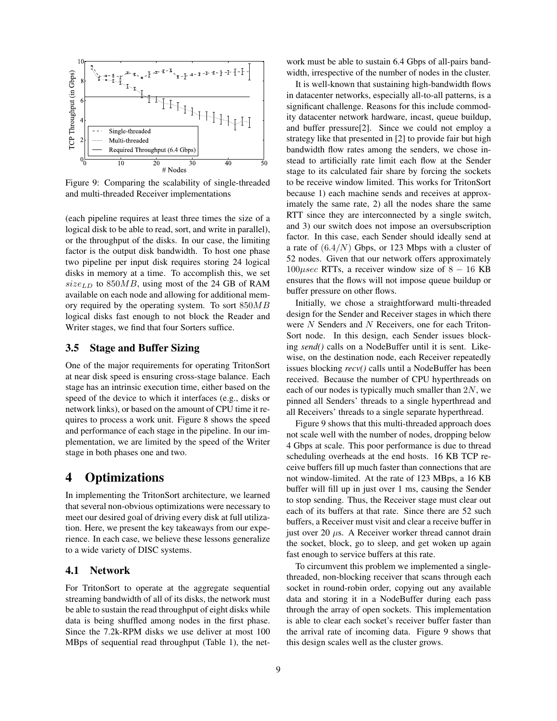

Figure 9: Comparing the scalability of single-threaded and multi-threaded Receiver implementations

(each pipeline requires at least three times the size of a logical disk to be able to read, sort, and write in parallel), or the throughput of the disks. In our case, the limiting factor is the output disk bandwidth. To host one phase two pipeline per input disk requires storing 24 logical disks in memory at a time. To accomplish this, we set  $size_{LD}$  to 850 $MB$ , using most of the 24 GB of RAM available on each node and allowing for additional memory required by the operating system. To sort 850MB logical disks fast enough to not block the Reader and Writer stages, we find that four Sorters suffice.

#### 3.5 Stage and Buffer Sizing

One of the major requirements for operating TritonSort at near disk speed is ensuring cross-stage balance. Each stage has an intrinsic execution time, either based on the speed of the device to which it interfaces (e.g., disks or network links), or based on the amount of CPU time it requires to process a work unit. Figure 8 shows the speed and performance of each stage in the pipeline. In our implementation, we are limited by the speed of the Writer stage in both phases one and two.

# 4 Optimizations

In implementing the TritonSort architecture, we learned that several non-obvious optimizations were necessary to meet our desired goal of driving every disk at full utilization. Here, we present the key takeaways from our experience. In each case, we believe these lessons generalize to a wide variety of DISC systems.

#### 4.1 Network

For TritonSort to operate at the aggregate sequential streaming bandwidth of all of its disks, the network must be able to sustain the read throughput of eight disks while data is being shuffled among nodes in the first phase. Since the 7.2k-RPM disks we use deliver at most 100 MBps of sequential read throughput (Table 1), the net-

work must be able to sustain 6.4 Gbps of all-pairs bandwidth, irrespective of the number of nodes in the cluster.

It is well-known that sustaining high-bandwidth flows in datacenter networks, especially all-to-all patterns, is a significant challenge. Reasons for this include commodity datacenter network hardware, incast, queue buildup, and buffer pressure[2]. Since we could not employ a strategy like that presented in [2] to provide fair but high bandwidth flow rates among the senders, we chose instead to artificially rate limit each flow at the Sender stage to its calculated fair share by forcing the sockets to be receive window limited. This works for TritonSort because 1) each machine sends and receives at approximately the same rate, 2) all the nodes share the same RTT since they are interconnected by a single switch, and 3) our switch does not impose an oversubscription factor. In this case, each Sender should ideally send at a rate of  $(6.4/N)$  Gbps, or 123 Mbps with a cluster of 52 nodes. Given that our network offers approximately  $100\mu sec$  RTTs, a receiver window size of 8 – 16 KB ensures that the flows will not impose queue buildup or buffer pressure on other flows.

Initially, we chose a straightforward multi-threaded design for the Sender and Receiver stages in which there were N Senders and N Receivers, one for each Triton-Sort node. In this design, each Sender issues blocking *send()* calls on a NodeBuffer until it is sent. Likewise, on the destination node, each Receiver repeatedly issues blocking *recv()* calls until a NodeBuffer has been received. Because the number of CPU hyperthreads on each of our nodes is typically much smaller than  $2N$ , we pinned all Senders' threads to a single hyperthread and all Receivers' threads to a single separate hyperthread.

Figure 9 shows that this multi-threaded approach does not scale well with the number of nodes, dropping below 4 Gbps at scale. This poor performance is due to thread scheduling overheads at the end hosts. 16 KB TCP receive buffers fill up much faster than connections that are not window-limited. At the rate of 123 MBps, a 16 KB buffer will fill up in just over 1 ms, causing the Sender to stop sending. Thus, the Receiver stage must clear out each of its buffers at that rate. Since there are 52 such buffers, a Receiver must visit and clear a receive buffer in just over 20  $\mu$ s. A Receiver worker thread cannot drain the socket, block, go to sleep, and get woken up again fast enough to service buffers at this rate.

To circumvent this problem we implemented a singlethreaded, non-blocking receiver that scans through each socket in round-robin order, copying out any available data and storing it in a NodeBuffer during each pass through the array of open sockets. This implementation is able to clear each socket's receiver buffer faster than the arrival rate of incoming data. Figure 9 shows that this design scales well as the cluster grows.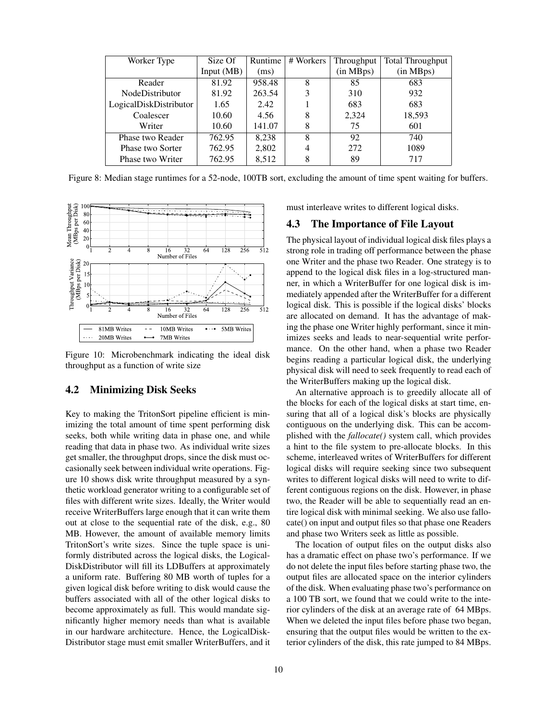| Worker Type            | Size Of   | Runtime | # Workers      | Throughput | <b>Total Throughput</b> |
|------------------------|-----------|---------|----------------|------------|-------------------------|
|                        | Input(MB) | (ms)    |                | (in MBps)  | (in MBps)               |
| Reader                 | 81.92     | 958.48  | 8              | 85         | 683                     |
| <b>NodeDistributor</b> | 81.92     | 263.54  | 3              | 310        | 932                     |
| LogicalDiskDistributor | 1.65      | 2.42    |                | 683        | 683                     |
| Coalescer              | 10.60     | 4.56    | 8              | 2,324      | 18,593                  |
| Writer                 | 10.60     | 141.07  | 8              | 75         | 601                     |
| Phase two Reader       | 762.95    | 8,238   | 8              | 92         | 740                     |
| Phase two Sorter       | 762.95    | 2,802   | $\overline{4}$ | 272        | 1089                    |
| Phase two Writer       | 762.95    | 8,512   | 8              | 89         | 717                     |

Figure 8: Median stage runtimes for a 52-node, 100TB sort, excluding the amount of time spent waiting for buffers.



Figure 10: Microbenchmark indicating the ideal disk throughput as a function of write size

#### 4.2 Minimizing Disk Seeks

Key to making the TritonSort pipeline efficient is minimizing the total amount of time spent performing disk seeks, both while writing data in phase one, and while reading that data in phase two. As individual write sizes get smaller, the throughput drops, since the disk must occasionally seek between individual write operations. Figure 10 shows disk write throughput measured by a synthetic workload generator writing to a configurable set of files with different write sizes. Ideally, the Writer would receive WriterBuffers large enough that it can write them out at close to the sequential rate of the disk, e.g., 80 MB. However, the amount of available memory limits TritonSort's write sizes. Since the tuple space is uniformly distributed across the logical disks, the Logical-DiskDistributor will fill its LDBuffers at approximately a uniform rate. Buffering 80 MB worth of tuples for a given logical disk before writing to disk would cause the buffers associated with all of the other logical disks to become approximately as full. This would mandate significantly higher memory needs than what is available in our hardware architecture. Hence, the LogicalDisk-Distributor stage must emit smaller WriterBuffers, and it must interleave writes to different logical disks.

#### 4.3 The Importance of File Layout

The physical layout of individual logical disk files plays a strong role in trading off performance between the phase one Writer and the phase two Reader. One strategy is to append to the logical disk files in a log-structured manner, in which a WriterBuffer for one logical disk is immediately appended after the WriterBuffer for a different logical disk. This is possible if the logical disks' blocks are allocated on demand. It has the advantage of making the phase one Writer highly performant, since it minimizes seeks and leads to near-sequential write performance. On the other hand, when a phase two Reader begins reading a particular logical disk, the underlying physical disk will need to seek frequently to read each of the WriterBuffers making up the logical disk.

An alternative approach is to greedily allocate all of the blocks for each of the logical disks at start time, ensuring that all of a logical disk's blocks are physically contiguous on the underlying disk. This can be accomplished with the *fallocate()* system call, which provides a hint to the file system to pre-allocate blocks. In this scheme, interleaved writes of WriterBuffers for different logical disks will require seeking since two subsequent writes to different logical disks will need to write to different contiguous regions on the disk. However, in phase two, the Reader will be able to sequentially read an entire logical disk with minimal seeking. We also use fallocate() on input and output files so that phase one Readers and phase two Writers seek as little as possible.

The location of output files on the output disks also has a dramatic effect on phase two's performance. If we do not delete the input files before starting phase two, the output files are allocated space on the interior cylinders of the disk. When evaluating phase two's performance on a 100 TB sort, we found that we could write to the interior cylinders of the disk at an average rate of 64 MBps. When we deleted the input files before phase two began, ensuring that the output files would be written to the exterior cylinders of the disk, this rate jumped to 84 MBps.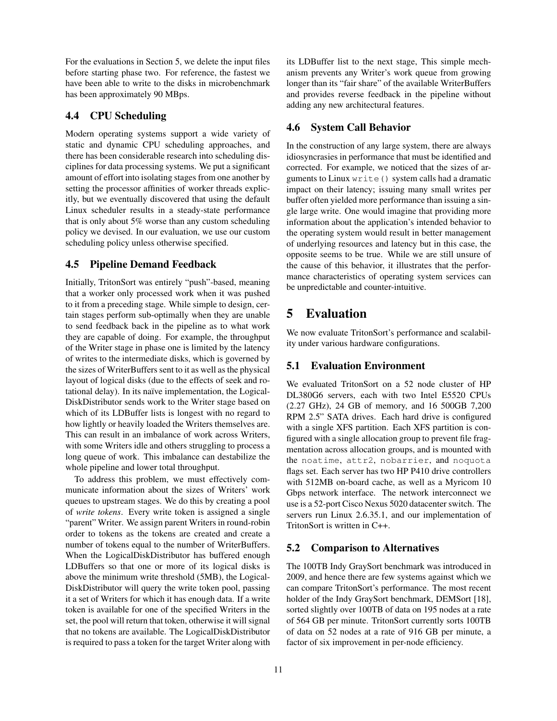For the evaluations in Section 5, we delete the input files before starting phase two. For reference, the fastest we have been able to write to the disks in microbenchmark has been approximately 90 MBps.

### 4.4 CPU Scheduling

Modern operating systems support a wide variety of static and dynamic CPU scheduling approaches, and there has been considerable research into scheduling disciplines for data processing systems. We put a significant amount of effort into isolating stages from one another by setting the processor affinities of worker threads explicitly, but we eventually discovered that using the default Linux scheduler results in a steady-state performance that is only about 5% worse than any custom scheduling policy we devised. In our evaluation, we use our custom scheduling policy unless otherwise specified.

### 4.5 Pipeline Demand Feedback

Initially, TritonSort was entirely "push"-based, meaning that a worker only processed work when it was pushed to it from a preceding stage. While simple to design, certain stages perform sub-optimally when they are unable to send feedback back in the pipeline as to what work they are capable of doing. For example, the throughput of the Writer stage in phase one is limited by the latency of writes to the intermediate disks, which is governed by the sizes of WriterBuffers sent to it as well as the physical layout of logical disks (due to the effects of seek and rotational delay). In its naïve implementation, the Logical-DiskDistributor sends work to the Writer stage based on which of its LDBuffer lists is longest with no regard to how lightly or heavily loaded the Writers themselves are. This can result in an imbalance of work across Writers, with some Writers idle and others struggling to process a long queue of work. This imbalance can destabilize the whole pipeline and lower total throughput.

To address this problem, we must effectively communicate information about the sizes of Writers' work queues to upstream stages. We do this by creating a pool of *write tokens*. Every write token is assigned a single "parent" Writer. We assign parent Writers in round-robin order to tokens as the tokens are created and create a number of tokens equal to the number of WriterBuffers. When the LogicalDiskDistributor has buffered enough LDBuffers so that one or more of its logical disks is above the minimum write threshold (5MB), the Logical-DiskDistributor will query the write token pool, passing it a set of Writers for which it has enough data. If a write token is available for one of the specified Writers in the set, the pool will return that token, otherwise it will signal that no tokens are available. The LogicalDiskDistributor is required to pass a token for the target Writer along with its LDBuffer list to the next stage, This simple mechanism prevents any Writer's work queue from growing longer than its "fair share" of the available WriterBuffers and provides reverse feedback in the pipeline without adding any new architectural features.

### 4.6 System Call Behavior

In the construction of any large system, there are always idiosyncrasies in performance that must be identified and corrected. For example, we noticed that the sizes of arguments to Linux write () system calls had a dramatic impact on their latency; issuing many small writes per buffer often yielded more performance than issuing a single large write. One would imagine that providing more information about the application's intended behavior to the operating system would result in better management of underlying resources and latency but in this case, the opposite seems to be true. While we are still unsure of the cause of this behavior, it illustrates that the performance characteristics of operating system services can be unpredictable and counter-intuitive.

# 5 Evaluation

We now evaluate TritonSort's performance and scalability under various hardware configurations.

# 5.1 Evaluation Environment

We evaluated TritonSort on a 52 node cluster of HP DL380G6 servers, each with two Intel E5520 CPUs (2.27 GHz), 24 GB of memory, and 16 500GB 7,200 RPM 2.5" SATA drives. Each hard drive is configured with a single XFS partition. Each XFS partition is configured with a single allocation group to prevent file fragmentation across allocation groups, and is mounted with the noatime, attr2, nobarrier, and noquota flags set. Each server has two HP P410 drive controllers with 512MB on-board cache, as well as a Myricom 10 Gbps network interface. The network interconnect we use is a 52-port Cisco Nexus 5020 datacenter switch. The servers run Linux 2.6.35.1, and our implementation of TritonSort is written in C++.

# 5.2 Comparison to Alternatives

The 100TB Indy GraySort benchmark was introduced in 2009, and hence there are few systems against which we can compare TritonSort's performance. The most recent holder of the Indy GraySort benchmark, DEMSort [18], sorted slightly over 100TB of data on 195 nodes at a rate of 564 GB per minute. TritonSort currently sorts 100TB of data on 52 nodes at a rate of 916 GB per minute, a factor of six improvement in per-node efficiency.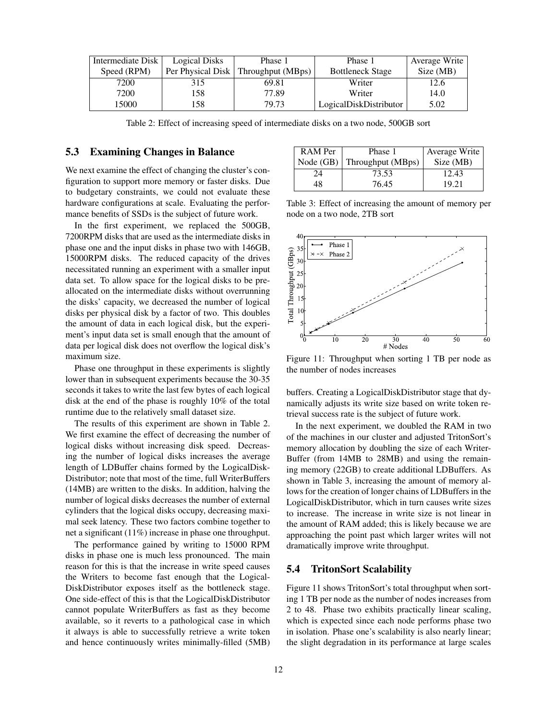| Intermediate Disk | Logical Disks | Phase 1                               | Phase 1                 | Average Write |
|-------------------|---------------|---------------------------------------|-------------------------|---------------|
| Speed (RPM)       |               | Per Physical Disk   Throughput (MBps) | <b>Bottleneck Stage</b> | Size (MB)     |
| 7200              | 315           | 69.81                                 | Writer                  | 12.6          |
| 7200              | 158           | 77.89                                 | Writer                  | 14.0          |
| 5000              | 58            | 79.73                                 | LogicalDiskDistributor  | 5.02          |

Table 2: Effect of increasing speed of intermediate disks on a two node, 500GB sort

#### 5.3 Examining Changes in Balance

We next examine the effect of changing the cluster's configuration to support more memory or faster disks. Due to budgetary constraints, we could not evaluate these hardware configurations at scale. Evaluating the performance benefits of SSDs is the subject of future work.

In the first experiment, we replaced the 500GB, 7200RPM disks that are used as the intermediate disks in phase one and the input disks in phase two with 146GB, 15000RPM disks. The reduced capacity of the drives necessitated running an experiment with a smaller input data set. To allow space for the logical disks to be preallocated on the intermediate disks without overrunning the disks' capacity, we decreased the number of logical disks per physical disk by a factor of two. This doubles the amount of data in each logical disk, but the experiment's input data set is small enough that the amount of data per logical disk does not overflow the logical disk's maximum size.

Phase one throughput in these experiments is slightly lower than in subsequent experiments because the 30-35 seconds it takes to write the last few bytes of each logical disk at the end of the phase is roughly 10% of the total runtime due to the relatively small dataset size.

The results of this experiment are shown in Table 2. We first examine the effect of decreasing the number of logical disks without increasing disk speed. Decreasing the number of logical disks increases the average length of LDBuffer chains formed by the LogicalDisk-Distributor; note that most of the time, full WriterBuffers (14MB) are written to the disks. In addition, halving the number of logical disks decreases the number of external cylinders that the logical disks occupy, decreasing maximal seek latency. These two factors combine together to net a significant (11%) increase in phase one throughput.

The performance gained by writing to 15000 RPM disks in phase one is much less pronounced. The main reason for this is that the increase in write speed causes the Writers to become fast enough that the Logical-DiskDistributor exposes itself as the bottleneck stage. One side-effect of this is that the LogicalDiskDistributor cannot populate WriterBuffers as fast as they become available, so it reverts to a pathological case in which it always is able to successfully retrieve a write token and hence continuously writes minimally-filled (5MB)

| RAM Per     | Phase 1           | Average Write |
|-------------|-------------------|---------------|
| Node $(GB)$ | Throughput (MBps) | Size (MB)     |
| 24          | 73.53             | 12.43         |
| 48          | 76.45             | 19.21         |

Table 3: Effect of increasing the amount of memory per node on a two node, 2TB sort



Figure 11: Throughput when sorting 1 TB per node as the number of nodes increases

buffers. Creating a LogicalDiskDistributor stage that dynamically adjusts its write size based on write token retrieval success rate is the subject of future work.

In the next experiment, we doubled the RAM in two of the machines in our cluster and adjusted TritonSort's memory allocation by doubling the size of each Writer-Buffer (from 14MB to 28MB) and using the remaining memory (22GB) to create additional LDBuffers. As shown in Table 3, increasing the amount of memory allows for the creation of longer chains of LDBuffers in the LogicalDiskDistributor, which in turn causes write sizes to increase. The increase in write size is not linear in the amount of RAM added; this is likely because we are approaching the point past which larger writes will not dramatically improve write throughput.

#### 5.4 TritonSort Scalability

Figure 11 shows TritonSort's total throughput when sorting 1 TB per node as the number of nodes increases from 2 to 48. Phase two exhibits practically linear scaling, which is expected since each node performs phase two in isolation. Phase one's scalability is also nearly linear; the slight degradation in its performance at large scales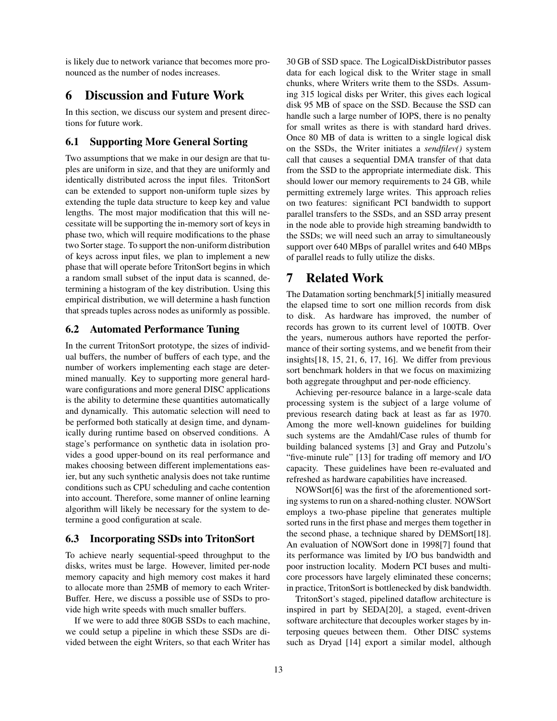is likely due to network variance that becomes more pronounced as the number of nodes increases.

# 6 Discussion and Future Work

In this section, we discuss our system and present directions for future work.

### 6.1 Supporting More General Sorting

Two assumptions that we make in our design are that tuples are uniform in size, and that they are uniformly and identically distributed across the input files. TritonSort can be extended to support non-uniform tuple sizes by extending the tuple data structure to keep key and value lengths. The most major modification that this will necessitate will be supporting the in-memory sort of keys in phase two, which will require modifications to the phase two Sorter stage. To support the non-uniform distribution of keys across input files, we plan to implement a new phase that will operate before TritonSort begins in which a random small subset of the input data is scanned, determining a histogram of the key distribution. Using this empirical distribution, we will determine a hash function that spreads tuples across nodes as uniformly as possible.

### 6.2 Automated Performance Tuning

In the current TritonSort prototype, the sizes of individual buffers, the number of buffers of each type, and the number of workers implementing each stage are determined manually. Key to supporting more general hardware configurations and more general DISC applications is the ability to determine these quantities automatically and dynamically. This automatic selection will need to be performed both statically at design time, and dynamically during runtime based on observed conditions. A stage's performance on synthetic data in isolation provides a good upper-bound on its real performance and makes choosing between different implementations easier, but any such synthetic analysis does not take runtime conditions such as CPU scheduling and cache contention into account. Therefore, some manner of online learning algorithm will likely be necessary for the system to determine a good configuration at scale.

#### 6.3 Incorporating SSDs into TritonSort

To achieve nearly sequential-speed throughput to the disks, writes must be large. However, limited per-node memory capacity and high memory cost makes it hard to allocate more than 25MB of memory to each Writer-Buffer. Here, we discuss a possible use of SSDs to provide high write speeds with much smaller buffers.

If we were to add three 80GB SSDs to each machine, we could setup a pipeline in which these SSDs are divided between the eight Writers, so that each Writer has 30 GB of SSD space. The LogicalDiskDistributor passes data for each logical disk to the Writer stage in small chunks, where Writers write them to the SSDs. Assuming 315 logical disks per Writer, this gives each logical disk 95 MB of space on the SSD. Because the SSD can handle such a large number of IOPS, there is no penalty for small writes as there is with standard hard drives. Once 80 MB of data is written to a single logical disk on the SSDs, the Writer initiates a *sendfilev()* system call that causes a sequential DMA transfer of that data from the SSD to the appropriate intermediate disk. This should lower our memory requirements to 24 GB, while permitting extremely large writes. This approach relies on two features: significant PCI bandwidth to support parallel transfers to the SSDs, and an SSD array present in the node able to provide high streaming bandwidth to the SSDs; we will need such an array to simultaneously support over 640 MBps of parallel writes and 640 MBps of parallel reads to fully utilize the disks.

# 7 Related Work

The Datamation sorting benchmark[5] initially measured the elapsed time to sort one million records from disk to disk. As hardware has improved, the number of records has grown to its current level of 100TB. Over the years, numerous authors have reported the performance of their sorting systems, and we benefit from their insights[18, 15, 21, 6, 17, 16]. We differ from previous sort benchmark holders in that we focus on maximizing both aggregate throughput and per-node efficiency.

Achieving per-resource balance in a large-scale data processing system is the subject of a large volume of previous research dating back at least as far as 1970. Among the more well-known guidelines for building such systems are the Amdahl/Case rules of thumb for building balanced systems [3] and Gray and Putzolu's "five-minute rule" [13] for trading off memory and I/O capacity. These guidelines have been re-evaluated and refreshed as hardware capabilities have increased.

NOWSort[6] was the first of the aforementioned sorting systems to run on a shared-nothing cluster. NOWSort employs a two-phase pipeline that generates multiple sorted runs in the first phase and merges them together in the second phase, a technique shared by DEMSort[18]. An evaluation of NOWSort done in 1998[7] found that its performance was limited by I/O bus bandwidth and poor instruction locality. Modern PCI buses and multicore processors have largely eliminated these concerns; in practice, TritonSort is bottlenecked by disk bandwidth.

TritonSort's staged, pipelined dataflow architecture is inspired in part by SEDA[20], a staged, event-driven software architecture that decouples worker stages by interposing queues between them. Other DISC systems such as Dryad [14] export a similar model, although